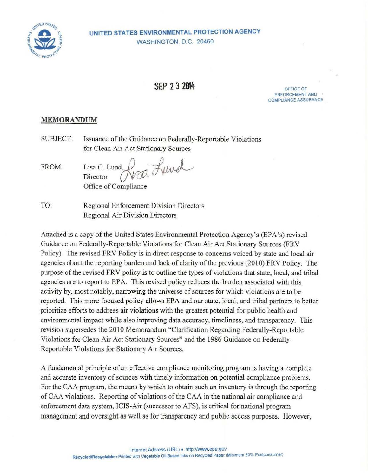

# **UNITED STATES ENVIRONMENTAL PROTECTION AGENCY**  WASHINGTON, D.C. 20460

# **SEP 2 3 2014** OFFICE OF

ENFORCEMENT AND COMPLIANCE ASSURANCE

### **MEMORANDUM**

| SUBJECT: | Issuance of the Guidance on Federally-Reportable Violations |
|----------|-------------------------------------------------------------|
|          | for Clean Air Act Stationary Sources                        |

FROM: Lisa C. Lund<br>Director Wood Juvel Office of Compliance

TO: Regional Enforcement Division Directors Regional Air Division Directors

Attached is a copy of the United States Environmental Protection Agency's (EPA's) revised Guidance on Federally-Reportable Violations for Clean Air Act Stationary Sources (FRV Policy). The revised FRV Policy is in direct response to concerns voiced by state and local air agencies about the reporting burden and lack of clarity of the previous (2010) FRV Policy. The purpose of the revised FRV policy is to outline the types of violations that state, local, and tribal agencies are to report to EPA. This revised policy reduces the burden associated with this activity by, most notably, narrowing the universe of sources for which violations are to be reported. This more focused policy allows EPA and our state, local, and tribal partners to better prioritize efforts to address air violations with the greatest potential for public health and environmental impact while also improving data accuracy, timeliness, and transparency. This revision supersedes the 2010 Memorandum "Clarification Regarding Federally-Reportable Violations for Clean Air Act Stationary Sources" and the 1986 Guidance on Federally-Reportable Violations for Stationary Air Sources.

A fundamental principle of an effective compliance monitoring program is having a complete and accurate inventory of sources with timely information on potential compliance problems. For the CAA program, the means by which to obtain such an inventory is through the reporting of CAA violations. Reporting of violations of the CAA in the national air compliance and enforcement data system, ICIS-Air (successor to AFS), is critical for national program management and oversight as well as for transparency and public access purposes. However,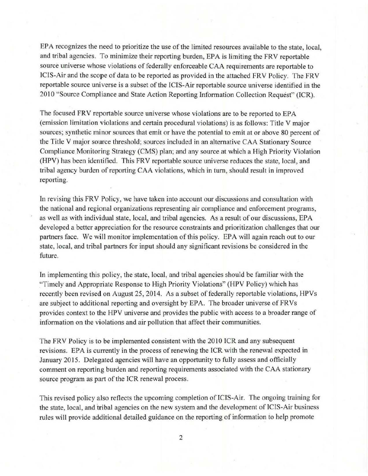EPA recognizes the need to prioritize the use of the limited resources available to the state, local, and tribal agencies. To minimize their reporting burden, EPA is limiting the FRV reportable source universe whose violations of federally enforceable CAA requirements are reportable to lCIS-Air and the scope of.data to be reported as provided in the attached FRV Policy. The FRV reportable source universe is a subset of the ICIS-Air reportable source universe identified in the 2010 "Source Compliance and State Action Reporting Information Collection Request" (ICR).

The focused FRV reportable source universe whose violations are to be reported to EPA (emission limitation violations and certain procedural violations) is as follows: Title V major sources; synthetic minor sources that emit or have the potential to emit at or above 80 percent of the Title V major source threshold; sources included in an alternative CAA Stationary Source Compliance Monitoring Strategy (CMS) plan; and any source at which a High Priority Violation (HPV) has been identified. This FRV reportable source universe reduces the state, local, and tribal agency burden of reporting CAA violations, which in turn, should result in improved reporting.

In revising this FRV Policy, we have taken into account our discussions and consultation with the national and regional organizations representing air compliance and enforcement programs, as well as with individual state, local, and tribal agencies. As a result of our discussions, EPA developed a better appreciation for the resource constraints and prioritization challenges that our partners face. We will monitor implementation of this policy. EPA will again reach out to our state, local, and tribal partners for input should any significant revisions be considered in the future.

fn implementing this policy, the state, local, and tribal agencies should be familiar with the "Timely and Appropriate Response to High Priority Violations" (HPV Policy) which has recently been revised on August 25, 2014. As a subset of federally reportable violations, HPVs are subject to additional reporting and oversight by EPA. The broader universe of FRVs provides context to the HPV universe and provides the public with access to a broader range of information on the violations and air pollution that affect their communities.

The FRV Policy is to be implemented consistent with the 2010 ICR and any subsequent revisions. EPA is currently in the process of renewing the ICR with the renewal expected in January 2015. Delegated agencies will have an opportunity to fully assess and officially comment on reporting burden and reporting requirements associated with the CAA stationary source program as part of the ICR renewal process.

This revised policy also reflects the upcoming completion of ICIS-Air. The ongoing training for the state, local, and tribal agencies on the new system and the development of ICIS-Air business rules will provide additional detailed guidance on the reporting of information to help promote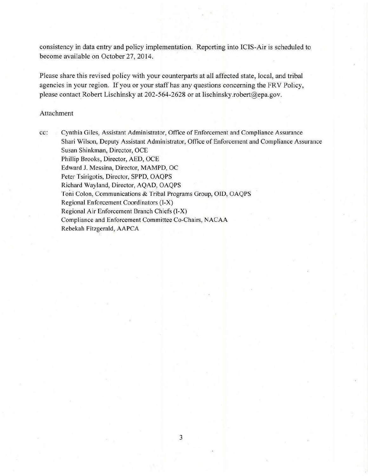consistency in data entry and policy implementation. Reporting into ICIS-Air is scheduled to become available on October 27, 2014.

Please share this revised policy with your counterparts at all affected state, local, and tribal agencies in your region. If you or your staff has any questions concerning the FRV Policy, please contact Robert Lischinsky at 202-564-2628 or at lischinsky.robert@epa.gov.

#### Attachment

cc: Cynthia Giles, Assistant Administrator, Office of Enforcement and Compliance Assurance Shari Wilson, Deputy Assistant Administrator, Office of Enforcement and Compliance Assurance Susan Shinkman, Director, OCE Phillip Brooks, Director, AED, OCE Edward J. Messina, Director, MAMPD, OC Peter Tsirigotis, Director, SPPD, OAQPS Richard Wayland, Director, AQAD, OAQPS Toni Colon, Communications & Tribal Programs Group, OID, OAQPS Regional Enforcement Coordinators (1-X) Regional Air Enforcement Branch Chiefs (1-X) Compliance and Enforcement Committee Co-Chairs, NACAA Rebekah Fitzgerald, AAPCA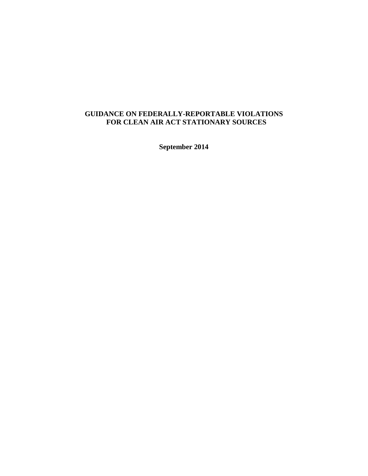# **GUIDANCE ON FEDERALLY-REPORTABLE VIOLATIONS FOR CLEAN AIR ACT STATIONARY SOURCES**

**September 2014**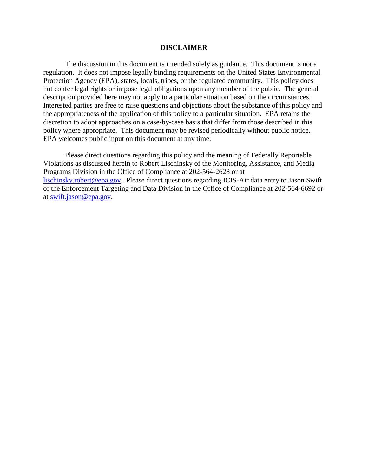#### **DISCLAIMER**

The discussion in this document is intended solely as guidance. This document is not a regulation. It does not impose legally binding requirements on the United States Environmental Protection Agency (EPA), states, locals, tribes, or the regulated community. This policy does not confer legal rights or impose legal obligations upon any member of the public. The general description provided here may not apply to a particular situation based on the circumstances. Interested parties are free to raise questions and objections about the substance of this policy and the appropriateness of the application of this policy to a particular situation. EPA retains the discretion to adopt approaches on a case-by-case basis that differ from those described in this policy where appropriate. This document may be revised periodically without public notice. EPA welcomes public input on this document at any time.

Please direct questions regarding this policy and the meaning of Federally Reportable Violations as discussed herein to Robert Lischinsky of the Monitoring, Assistance, and Media Programs Division in the Office of Compliance at 202-564-2628 or at [lischinsky.robert@epa.gov.](mailto:lischinsky.robert@epa.gov) Please direct questions regarding ICIS-Air data entry to Jason Swift of the Enforcement Targeting and Data Division in the Office of Compliance at 202-564-6692 or at [swift.jason@epa.gov.](mailto:swift.jason@epa.gov)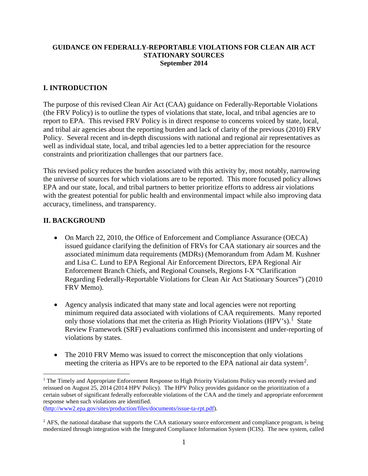#### **GUIDANCE ON FEDERALLY-REPORTABLE VIOLATIONS FOR CLEAN AIR ACT STATIONARY SOURCES September 2014**

### **I. INTRODUCTION**

The purpose of this revised Clean Air Act (CAA) guidance on Federally-Reportable Violations (the FRV Policy) is to outline the types of violations that state, local, and tribal agencies are to report to EPA. This revised FRV Policy is in direct response to concerns voiced by state, local, and tribal air agencies about the reporting burden and lack of clarity of the previous (2010) FRV Policy. Several recent and in-depth discussions with national and regional air representatives as well as individual state, local, and tribal agencies led to a better appreciation for the resource constraints and prioritization challenges that our partners face.

This revised policy reduces the burden associated with this activity by, most notably, narrowing the universe of sources for which violations are to be reported. This more focused policy allows EPA and our state, local, and tribal partners to better prioritize efforts to address air violations with the greatest potential for public health and environmental impact while also improving data accuracy, timeliness, and transparency.

### **II. BACKGROUND**

- On March 22, 2010, the Office of Enforcement and Compliance Assurance (OECA) issued guidance clarifying the definition of FRVs for CAA stationary air sources and the associated minimum data requirements (MDRs) (Memorandum from Adam M. Kushner and Lisa C. Lund to EPA Regional Air Enforcement Directors, EPA Regional Air Enforcement Branch Chiefs, and Regional Counsels, Regions I-X "Clarification Regarding Federally-Reportable Violations for Clean Air Act Stationary Sources") (2010 FRV Memo).
- Agency analysis indicated that many state and local agencies were not reporting minimum required data associated with violations of CAA requirements. Many reported only those violations that met the criteria as High Priority Violations (HPV's).<sup>[1](#page-5-0)</sup> State Review Framework (SRF) evaluations confirmed this inconsistent and under-reporting of violations by states.
- The 2010 FRV Memo was issued to correct the misconception that only violations meeting the criteria as HPVs are to be reported to the EPA national air data system<sup>[2](#page-5-1)</sup>.

<span id="page-5-0"></span><sup>&</sup>lt;sup>1</sup> The Timely and Appropriate Enforcement Response to High Priority Violations Policy was recently revised and reissued on August 25, 2014 (2014 HPV Policy). The HPV Policy provides guidance on the prioritization of a certain subset of significant federally enforceable violations of the CAA and the timely and appropriate enforcement response when such violations are identified.  $\overline{a}$ 

[<sup>\(</sup>http://www2.epa.gov/sites/production/files/documents/issue-ta-rpt.pdf\)](http://www2.epa.gov/sites/production/files/documents/issue-ta-rpt.pdf).

<span id="page-5-1"></span> $^2$  AFS, the national database that supports the CAA stationary source enforcement and compliance program, is being modernized through integration with the Integrated Compliance Information System (ICIS). The new system, called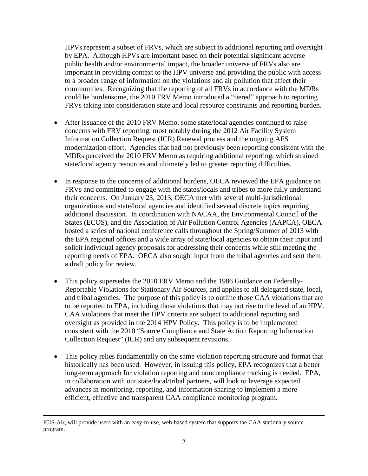HPVs represent a subset of FRVs, which are subject to additional reporting and oversight by EPA. Although HPVs are important based on their potential significant adverse public health and/or environmental impact, the broader universe of FRVs also are important in providing context to the HPV universe and providing the public with access to a broader range of information on the violations and air pollution that affect their communities. Recognizing that the reporting of all FRVs in accordance with the MDRs could be burdensome, the 2010 FRV Memo introduced a "tiered" approach to reporting FRVs taking into consideration state and local resource constraints and reporting burden.

- After issuance of the 2010 FRV Memo, some state/local agencies continued to raise concerns with FRV reporting, most notably during the 2012 Air Facility System Information Collection Request (ICR) Renewal process and the ongoing AFS modernization effort. Agencies that had not previously been reporting consistent with the MDRs perceived the 2010 FRV Memo as requiring additional reporting, which strained state/local agency resources and ultimately led to greater reporting difficulties.
- In response to the concerns of additional burdens, OECA reviewed the EPA guidance on FRVs and committed to engage with the states/locals and tribes to more fully understand their concerns. On January 23, 2013, OECA met with several multi-jurisdictional organizations and state/local agencies and identified several discrete topics requiring additional discussion. In coordination with NACAA, the Environmental Council of the States (ECOS), and the Association of Air Pollution Control Agencies (AAPCA), OECA hosted a series of national conference calls throughout the Spring/Summer of 2013 with the EPA regional offices and a wide array of state/local agencies to obtain their input and solicit individual agency proposals for addressing their concerns while still meeting the reporting needs of EPA. OECA also sought input from the tribal agencies and sent them a draft policy for review.
- This policy supersedes the 2010 FRV Memo and the 1986 Guidance on Federally-Reportable Violations for Stationary Air Sources, and applies to all delegated state, local, and tribal agencies. The purpose of this policy is to outline those CAA violations that are to be reported to EPA, including those violations that may not rise to the level of an HPV. CAA violations that meet the HPV criteria are subject to additional reporting and oversight as provided in the 2014 HPV Policy. This policy is to be implemented consistent with the 2010 "Source Compliance and State Action Reporting Information Collection Request" (ICR) and any subsequent revisions.
- This policy relies fundamentally on the same violation reporting structure and format that historically has been used. However, in issuing this policy, EPA recognizes that a better long-term approach for violation reporting and noncompliance tracking is needed. EPA, in collaboration with our state/local/tribal partners, will look to leverage expected advances in monitoring, reporting, and information sharing to implement a more efficient, effective and transparent CAA compliance monitoring program.

 $\overline{a}$ 

ICIS-Air, will provide users with an easy-to-use, web-based system that supports the CAA stationary source program.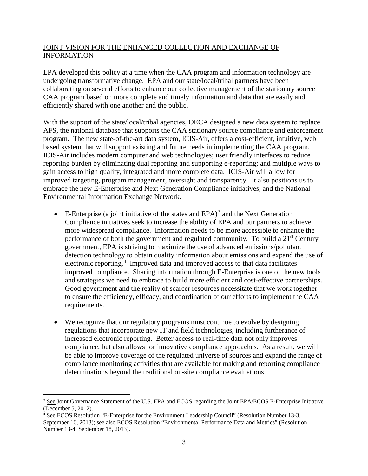### JOINT VISION FOR THE ENHANCED COLLECTION AND EXCHANGE OF INFORMATION

EPA developed this policy at a time when the CAA program and information technology are undergoing transformative change. EPA and our state/local/tribal partners have been collaborating on several efforts to enhance our collective management of the stationary source CAA program based on more complete and timely information and data that are easily and efficiently shared with one another and the public.

With the support of the state/local/tribal agencies, OECA designed a new data system to replace AFS, the national database that supports the CAA stationary source compliance and enforcement program. The new state-of-the-art data system, ICIS-Air, offers a cost-efficient, intuitive, web based system that will support existing and future needs in implementing the CAA program. ICIS-Air includes modern computer and web technologies; user friendly interfaces to reduce reporting burden by eliminating dual reporting and supporting e-reporting; and multiple ways to gain access to high quality, integrated and more complete data. ICIS-Air will allow for improved targeting, program management, oversight and transparency. It also positions us to embrace the new E-Enterprise and Next Generation Compliance initiatives, and the National Environmental Information Exchange Network.

- E-Enterprise (a joint initiative of the states and EPA)<sup>[3](#page-7-0)</sup> and the Next Generation Compliance initiatives seek to increase the ability of EPA and our partners to achieve more widespread compliance. Information needs to be more accessible to enhance the performance of both the government and regulated community. To build a 21<sup>st</sup> Century government, EPA is striving to maximize the use of advanced emissions/pollutant detection technology to obtain quality information about emissions and expand the use of electronic reporting. [4](#page-7-1) Improved data and improved access to that data facilitates improved compliance. Sharing information through E-Enterprise is one of the new tools and strategies we need to embrace to build more efficient and cost-effective partnerships. Good government and the reality of scarcer resources necessitate that we work together to ensure the efficiency, efficacy, and coordination of our efforts to implement the CAA requirements.
- We recognize that our regulatory programs must continue to evolve by designing regulations that incorporate new IT and field technologies, including furtherance of increased electronic reporting. Better access to real-time data not only improves compliance, but also allows for innovative compliance approaches. As a result, we will be able to improve coverage of the regulated universe of sources and expand the range of compliance monitoring activities that are available for making and reporting compliance determinations beyond the traditional on-site compliance evaluations.

<span id="page-7-0"></span><sup>&</sup>lt;sup>3</sup> See Joint Governance Statement of the U.S. EPA and ECOS regarding the Joint EPA/ECOS E-Enterprise Initiative (December 5, 2012).  $\overline{a}$ 

<span id="page-7-1"></span><sup>4</sup> See ECOS Resolution "E-Enterprise for the Environment Leadership Council" (Resolution Number 13-3, September 16, 2013); see also ECOS Resolution "Environmental Performance Data and Metrics" (Resolution Number 13-4, September 18, 2013).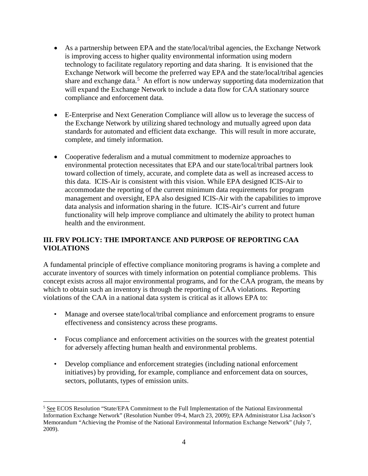- As a partnership between EPA and the state/local/tribal agencies, the Exchange Network is improving access to higher quality environmental information using modern technology to facilitate regulatory reporting and data sharing. It is envisioned that the Exchange Network will become the preferred way EPA and the state/local/tribal agencies share and exchange data.<sup>[5](#page-8-0)</sup> An effort is now underway supporting data modernization that will expand the Exchange Network to include a data flow for CAA stationary source compliance and enforcement data.
- E-Enterprise and Next Generation Compliance will allow us to leverage the success of the Exchange Network by utilizing shared technology and mutually agreed upon data standards for automated and efficient data exchange. This will result in more accurate, complete, and timely information.
- Cooperative federalism and a mutual commitment to modernize approaches to environmental protection necessitates that EPA and our state/local/tribal partners look toward collection of timely, accurate, and complete data as well as increased access to this data. ICIS-Air is consistent with this vision. While EPA designed ICIS-Air to accommodate the reporting of the current minimum data requirements for program management and oversight, EPA also designed ICIS-Air with the capabilities to improve data analysis and information sharing in the future. ICIS-Air's current and future functionality will help improve compliance and ultimately the ability to protect human health and the environment.

# **III. FRV POLICY: THE IMPORTANCE AND PURPOSE OF REPORTING CAA VIOLATIONS**

A fundamental principle of effective compliance monitoring programs is having a complete and accurate inventory of sources with timely information on potential compliance problems. This concept exists across all major environmental programs, and for the CAA program, the means by which to obtain such an inventory is through the reporting of CAA violations. Reporting violations of the CAA in a national data system is critical as it allows EPA to:

- Manage and oversee state/local/tribal compliance and enforcement programs to ensure effectiveness and consistency across these programs.
- Focus compliance and enforcement activities on the sources with the greatest potential for adversely affecting human health and environmental problems.
- Develop compliance and enforcement strategies (including national enforcement initiatives) by providing, for example, compliance and enforcement data on sources, sectors, pollutants, types of emission units.

<span id="page-8-0"></span><sup>5</sup> See ECOS Resolution "State/EPA Commitment to the Full Implementation of the National Environmental Information Exchange Network" (Resolution Number 09-4, March 23, 2009); EPA Administrator Lisa Jackson's Memorandum "Achieving the Promise of the National Environmental Information Exchange Network" (July 7, 2009).  $\overline{a}$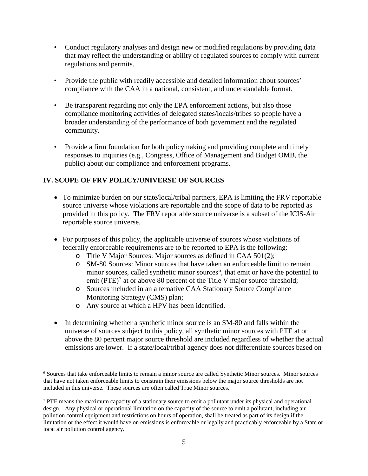- Conduct regulatory analyses and design new or modified regulations by providing data that may reflect the understanding or ability of regulated sources to comply with current regulations and permits.
- Provide the public with readily accessible and detailed information about sources' compliance with the CAA in a national, consistent, and understandable format.
- Be transparent regarding not only the EPA enforcement actions, but also those compliance monitoring activities of delegated states/locals/tribes so people have a broader understanding of the performance of both government and the regulated community.
- Provide a firm foundation for both policymaking and providing complete and timely responses to inquiries (e.g., Congress, Office of Management and Budget OMB, the public) about our compliance and enforcement programs.

# **IV. SCOPE OF FRV POLICY/UNIVERSE OF SOURCES**

- To minimize burden on our state/local/tribal partners, EPA is limiting the FRV reportable source universe whose violations are reportable and the scope of data to be reported as provided in this policy. The FRV reportable source universe is a subset of the ICIS-Air reportable source universe.
- For purposes of this policy, the applicable universe of sources whose violations of federally enforceable requirements are to be reported to EPA is the following:
	- o Title V Major Sources: Major sources as defined in CAA 501(2);
	- o SM-80 Sources: Minor sources that have taken an enforceable limit to remain minor sources, called synthetic minor sources<sup>[6](#page-9-0)</sup>, that emit or have the potential to emit (PTE)<sup>[7](#page-9-1)</sup> at or above 80 percent of the Title V major source threshold;
	- o Sources included in an alternative CAA Stationary Source Compliance Monitoring Strategy (CMS) plan;
	- o Any source at which a HPV has been identified.
- In determining whether a synthetic minor source is an SM-80 and falls within the universe of sources subject to this policy, all synthetic minor sources with PTE at or above the 80 percent major source threshold are included regardless of whether the actual emissions are lower. If a state/local/tribal agency does not differentiate sources based on

<span id="page-9-0"></span><sup>6</sup> Sources that take enforceable limits to remain a minor source are called Synthetic Minor sources. Minor sources that have not taken enforceable limits to constrain their emissions below the major source thresholds are not included in this universe. These sources are often called True Minor sources.  $\overline{a}$ 

<span id="page-9-1"></span> $7$  PTE means the maximum capacity of a stationary source to emit a pollutant under its physical and operational design. Any physical or operational limitation on the capacity of the source to emit a pollutant, including air pollution control equipment and restrictions on hours of operation, shall be treated as part of its design if the limitation or the effect it would have on emissions is enforceable or legally and practicably enforceable by a State or local air pollution control agency.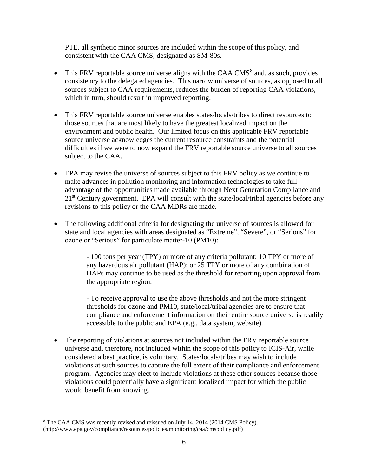PTE, all synthetic minor sources are included within the scope of this policy, and consistent with the CAA CMS, designated as SM-80s.

- This FRV reportable source universe aligns with the CAA  $CMS<sup>8</sup>$  $CMS<sup>8</sup>$  $CMS<sup>8</sup>$  and, as such, provides consistency to the delegated agencies. This narrow universe of sources, as opposed to all sources subject to CAA requirements, reduces the burden of reporting CAA violations, which in turn, should result in improved reporting.
- This FRV reportable source universe enables states/locals/tribes to direct resources to those sources that are most likely to have the greatest localized impact on the environment and public health. Our limited focus on this applicable FRV reportable source universe acknowledges the current resource constraints and the potential difficulties if we were to now expand the FRV reportable source universe to all sources subject to the CAA.
- EPA may revise the universe of sources subject to this FRV policy as we continue to make advances in pollution monitoring and information technologies to take full advantage of the opportunities made available through Next Generation Compliance and 21<sup>st</sup> Century government. EPA will consult with the state/local/tribal agencies before any revisions to this policy or the CAA MDRs are made.
- The following additional criteria for designating the universe of sources is allowed for state and local agencies with areas designated as "Extreme", "Severe", or "Serious" for ozone or "Serious" for particulate matter-10 (PM10):

- 100 tons per year (TPY) or more of any criteria pollutant; 10 TPY or more of any hazardous air pollutant (HAP); or 25 TPY or more of any combination of HAPs may continue to be used as the threshold for reporting upon approval from the appropriate region.

- To receive approval to use the above thresholds and not the more stringent thresholds for ozone and PM10, state/local/tribal agencies are to ensure that compliance and enforcement information on their entire source universe is readily accessible to the public and EPA (e.g., data system, website).

• The reporting of violations at sources not included within the FRV reportable source universe and, therefore, not included within the scope of this policy to ICIS-Air, while considered a best practice, is voluntary. States/locals/tribes may wish to include violations at such sources to capture the full extent of their compliance and enforcement program. Agencies may elect to include violations at these other sources because those violations could potentially have a significant localized impact for which the public would benefit from knowing.

 $\overline{a}$ 

<span id="page-10-0"></span><sup>8</sup> The CAA CMS was recently revised and reissued on July 14, 2014 (2014 CMS Policy). (http://www.epa.gov/compliance/resources/policies/monitoring/caa/cmspolicy.pdf)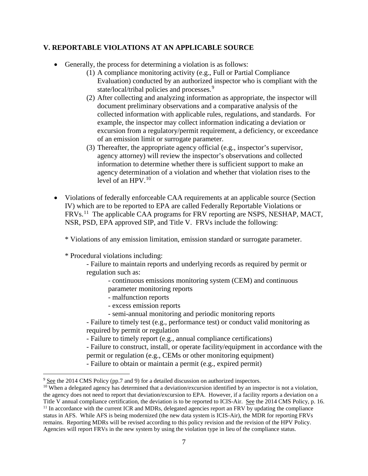#### **V. REPORTABLE VIOLATIONS AT AN APPLICABLE SOURCE**

- Generally, the process for determining a violation is as follows:
	- (1) A compliance monitoring activity (e.g., Full or Partial Compliance Evaluation) conducted by an authorized inspector who is compliant with the state/local/tribal policies and processes.<sup>[9](#page-11-0)</sup>
	- (2) After collecting and analyzing information as appropriate, the inspector will document preliminary observations and a comparative analysis of the collected information with applicable rules, regulations, and standards. For example, the inspector may collect information indicating a deviation or excursion from a regulatory/permit requirement, a deficiency, or exceedance of an emission limit or surrogate parameter.
	- (3) Thereafter, the appropriate agency official (e.g., inspector's supervisor, agency attorney) will review the inspector's observations and collected information to determine whether there is sufficient support to make an agency determination of a violation and whether that violation rises to the level of an HPV.[10](#page-11-1)
- Violations of federally enforceable CAA requirements at an applicable source (Section IV) which are to be reported to EPA are called Federally Reportable Violations or FRVs.<sup>[11](#page-11-2)</sup> The applicable CAA programs for FRV reporting are NSPS, NESHAP, MACT, NSR, PSD, EPA approved SIP, and Title V. FRVs include the following:

\* Violations of any emission limitation, emission standard or surrogate parameter.

\* Procedural violations including:

- Failure to maintain reports and underlying records as required by permit or regulation such as:
	- continuous emissions monitoring system (CEM) and continuous parameter monitoring reports
	- malfunction reports
	- excess emission reports
	- semi-annual monitoring and periodic monitoring reports
- Failure to timely test (e.g., performance test) or conduct valid monitoring as required by permit or regulation
- Failure to timely report (e.g., annual compliance certifications)
- Failure to construct, install, or operate facility/equipment in accordance with the
- permit or regulation (e.g., CEMs or other monitoring equipment)
- Failure to obtain or maintain a permit (e.g., expired permit)

<span id="page-11-0"></span> $9$  See the 2014 CMS Policy (pp.7 and 9) for a detailed discussion on authorized inspectors.

<span id="page-11-2"></span><span id="page-11-1"></span> $10$  When a delegated agency has determined that a deviation/excursion identified by an inspector is not a violation, the agency does not need to report that deviation/excursion to EPA. However, if a facility reports a deviation on a Title V annual compliance certification, the deviation is to be reported to ICIS-Air. See the 2014 CMS Policy, p. 16. <sup>11</sup> In accordance with the current ICR and MDRs, delegated agencies report an FRV by updating the compliance status in AFS. While AFS is being modernized (the new data system is ICIS-Air), the MDR for reporting FRVs remains. Reporting MDRs will be revised according to this policy revision and the revision of the HPV Policy. Agencies will report FRVs in the new system by using the violation type in lieu of the compliance status.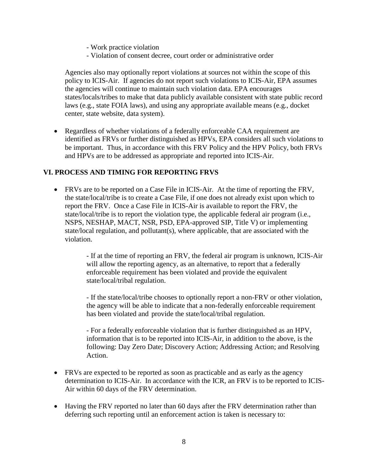- Work practice violation
- Violation of consent decree, court order or administrative order

Agencies also may optionally report violations at sources not within the scope of this policy to ICIS-Air. If agencies do not report such violations to ICIS-Air, EPA assumes the agencies will continue to maintain such violation data. EPA encourages states/locals/tribes to make that data publicly available consistent with state public record laws (e.g., state FOIA laws), and using any appropriate available means (e.g., docket center, state website, data system).

• Regardless of whether violations of a federally enforceable CAA requirement are identified as FRVs or further distinguished as HPVs, EPA considers all such violations to be important. Thus, in accordance with this FRV Policy and the HPV Policy, both FRVs and HPVs are to be addressed as appropriate and reported into ICIS-Air.

### **VI. PROCESS AND TIMING FOR REPORTING FRVS**

• FRVs are to be reported on a Case File in ICIS-Air. At the time of reporting the FRV, the state/local/tribe is to create a Case File, if one does not already exist upon which to report the FRV. Once a Case File in ICIS-Air is available to report the FRV, the state/local/tribe is to report the violation type, the applicable federal air program (i.e., NSPS, NESHAP, MACT, NSR, PSD, EPA-approved SIP, Title V) or implementing state/local regulation, and pollutant(s), where applicable, that are associated with the violation.

> - If at the time of reporting an FRV, the federal air program is unknown, ICIS-Air will allow the reporting agency, as an alternative, to report that a federally enforceable requirement has been violated and provide the equivalent state/local/tribal regulation.

> - If the state/local/tribe chooses to optionally report a non-FRV or other violation, the agency will be able to indicate that a non-federally enforceable requirement has been violated and provide the state/local/tribal regulation.

> - For a federally enforceable violation that is further distinguished as an HPV, information that is to be reported into ICIS-Air, in addition to the above, is the following: Day Zero Date; Discovery Action; Addressing Action; and Resolving Action.

- FRVs are expected to be reported as soon as practicable and as early as the agency determination to ICIS-Air. In accordance with the ICR, an FRV is to be reported to ICIS-Air within 60 days of the FRV determination.
- Having the FRV reported no later than 60 days after the FRV determination rather than deferring such reporting until an enforcement action is taken is necessary to: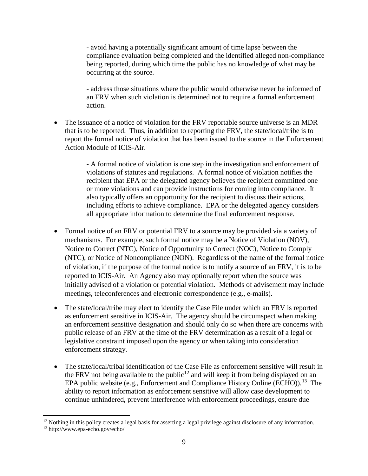- avoid having a potentially significant amount of time lapse between the compliance evaluation being completed and the identified alleged non-compliance being reported, during which time the public has no knowledge of what may be occurring at the source.

- address those situations where the public would otherwise never be informed of an FRV when such violation is determined not to require a formal enforcement action.

• The issuance of a notice of violation for the FRV reportable source universe is an MDR that is to be reported. Thus, in addition to reporting the FRV, the state/local/tribe is to report the formal notice of violation that has been issued to the source in the Enforcement Action Module of ICIS-Air.

> - A formal notice of violation is one step in the investigation and enforcement of violations of statutes and regulations. A formal notice of violation notifies the recipient that EPA or the delegated agency believes the recipient committed one or more violations and can provide instructions for coming into compliance. It also typically offers an opportunity for the recipient to discuss their actions, including efforts to achieve compliance. EPA or the delegated agency considers all appropriate information to determine the final enforcement response.

- Formal notice of an FRV or potential FRV to a source may be provided via a variety of mechanisms. For example, such formal notice may be a Notice of Violation (NOV), Notice to Correct (NTC), Notice of Opportunity to Correct (NOC), Notice to Comply (NTC), or Notice of Noncompliance (NON). Regardless of the name of the formal notice of violation, if the purpose of the formal notice is to notify a source of an FRV, it is to be reported to ICIS-Air. An Agency also may optionally report when the source was initially advised of a violation or potential violation. Methods of advisement may include meetings, teleconferences and electronic correspondence (e.g., e-mails).
- The state/local/tribe may elect to identify the Case File under which an FRV is reported as enforcement sensitive in ICIS-Air. The agency should be circumspect when making an enforcement sensitive designation and should only do so when there are concerns with public release of an FRV at the time of the FRV determination as a result of a legal or legislative constraint imposed upon the agency or when taking into consideration enforcement strategy.
- The state/local/tribal identification of the Case File as enforcement sensitive will result in the FRV not being available to the public<sup>[12](#page-13-0)</sup> and will keep it from being displayed on an EPA public website (e.g., Enforcement and Compliance History Online (ECHO)).<sup>13</sup> The ability to report information as enforcement sensitive will allow case development to continue unhindered, prevent interference with enforcement proceedings, ensure due

 $\overline{a}$ 

<span id="page-13-0"></span> $12$  Nothing in this policy creates a legal basis for asserting a legal privilege against disclosure of any information.

<span id="page-13-1"></span><sup>13</sup> http://www.epa-echo.gov/echo/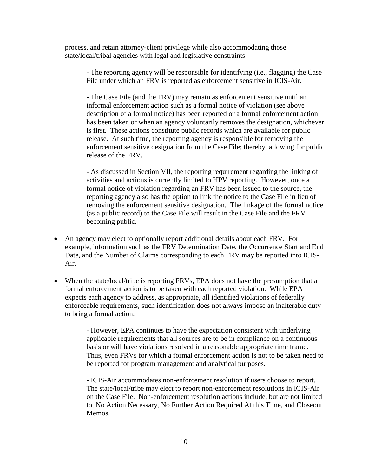process, and retain attorney-client privilege while also accommodating those state/local/tribal agencies with legal and legislative constraints.

- The reporting agency will be responsible for identifying (i.e., flagging) the Case File under which an FRV is reported as enforcement sensitive in ICIS-Air.

- The Case File (and the FRV) may remain as enforcement sensitive until an informal enforcement action such as a formal notice of violation (see above description of a formal notice) has been reported or a formal enforcement action has been taken or when an agency voluntarily removes the designation, whichever is first. These actions constitute public records which are available for public release. At such time, the reporting agency is responsible for removing the enforcement sensitive designation from the Case File; thereby, allowing for public release of the FRV.

- As discussed in Section VII, the reporting requirement regarding the linking of activities and actions is currently limited to HPV reporting. However, once a formal notice of violation regarding an FRV has been issued to the source, the reporting agency also has the option to link the notice to the Case File in lieu of removing the enforcement sensitive designation. The linkage of the formal notice (as a public record) to the Case File will result in the Case File and the FRV becoming public.

- An agency may elect to optionally report additional details about each FRV. For example, information such as the FRV Determination Date, the Occurrence Start and End Date, and the Number of Claims corresponding to each FRV may be reported into ICIS-Air.
- When the state/local/tribe is reporting FRVs, EPA does not have the presumption that a formal enforcement action is to be taken with each reported violation. While EPA expects each agency to address, as appropriate, all identified violations of federally enforceable requirements, such identification does not always impose an inalterable duty to bring a formal action.

- However, EPA continues to have the expectation consistent with underlying applicable requirements that all sources are to be in compliance on a continuous basis or will have violations resolved in a reasonable appropriate time frame. Thus, even FRVs for which a formal enforcement action is not to be taken need to be reported for program management and analytical purposes.

- ICIS-Air accommodates non-enforcement resolution if users choose to report. The state/local/tribe may elect to report non-enforcement resolutions in ICIS-Air on the Case File. Non-enforcement resolution actions include, but are not limited to, No Action Necessary, No Further Action Required At this Time, and Closeout Memos.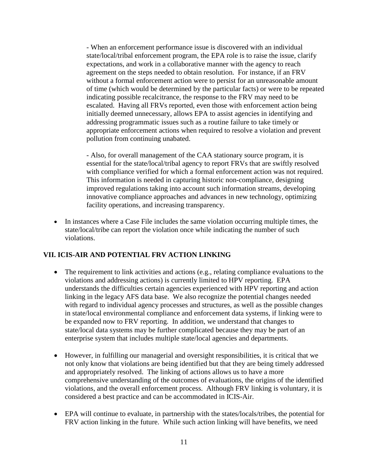- When an enforcement performance issue is discovered with an individual state/local/tribal enforcement program, the EPA role is to raise the issue, clarify expectations, and work in a collaborative manner with the agency to reach agreement on the steps needed to obtain resolution. For instance, if an FRV without a formal enforcement action were to persist for an unreasonable amount of time (which would be determined by the particular facts) or were to be repeated indicating possible recalcitrance, the response to the FRV may need to be escalated. Having all FRVs reported, even those with enforcement action being initially deemed unnecessary, allows EPA to assist agencies in identifying and addressing programmatic issues such as a routine failure to take timely or appropriate enforcement actions when required to resolve a violation and prevent pollution from continuing unabated.

- Also, for overall management of the CAA stationary source program, it is essential for the state/local/tribal agency to report FRVs that are swiftly resolved with compliance verified for which a formal enforcement action was not required. This information is needed in capturing historic non-compliance, designing improved regulations taking into account such information streams, developing innovative compliance approaches and advances in new technology, optimizing facility operations, and increasing transparency.

• In instances where a Case File includes the same violation occurring multiple times, the state/local/tribe can report the violation once while indicating the number of such violations.

### **VII. ICIS-AIR AND POTENTIAL FRV ACTION LINKING**

- The requirement to link activities and actions (e.g., relating compliance evaluations to the violations and addressing actions) is currently limited to HPV reporting. EPA understands the difficulties certain agencies experienced with HPV reporting and action linking in the legacy AFS data base. We also recognize the potential changes needed with regard to individual agency processes and structures, as well as the possible changes in state/local environmental compliance and enforcement data systems, if linking were to be expanded now to FRV reporting. In addition, we understand that changes to state/local data systems may be further complicated because they may be part of an enterprise system that includes multiple state/local agencies and departments.
- However, in fulfilling our managerial and oversight responsibilities, it is critical that we not only know that violations are being identified but that they are being timely addressed and appropriately resolved. The linking of actions allows us to have a more comprehensive understanding of the outcomes of evaluations, the origins of the identified violations, and the overall enforcement process. Although FRV linking is voluntary, it is considered a best practice and can be accommodated in ICIS-Air.
- EPA will continue to evaluate, in partnership with the states/locals/tribes, the potential for FRV action linking in the future. While such action linking will have benefits, we need